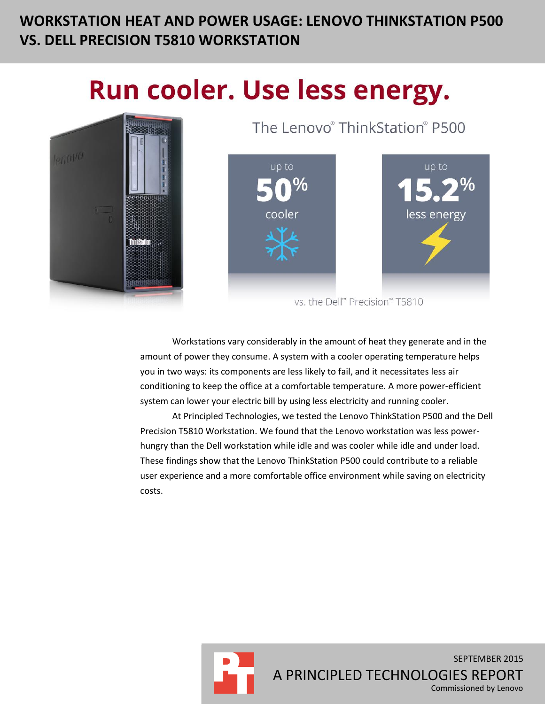# **WORKSTATION HEAT AND POWER USAGE: LENOVO THINKSTATION P500 VS. DELL PRECISION T5810 WORKSTATION**

# Run cooler. Use less energy.



The Lenovo® ThinkStation® P500



vs. the Dell™ Precision™ T5810

Workstations vary considerably in the amount of heat they generate and in the amount of power they consume. A system with a cooler operating temperature helps you in two ways: its components are less likely to fail, and it necessitates less air conditioning to keep the office at a comfortable temperature. A more power-efficient system can lower your electric bill by using less electricity and running cooler.

At Principled Technologies, we tested the Lenovo ThinkStation P500 and the Dell Precision T5810 Workstation. We found that the Lenovo workstation was less powerhungry than the Dell workstation while idle and was cooler while idle and under load. These findings show that the Lenovo ThinkStation P500 could contribute to a reliable user experience and a more comfortable office environment while saving on electricity costs.

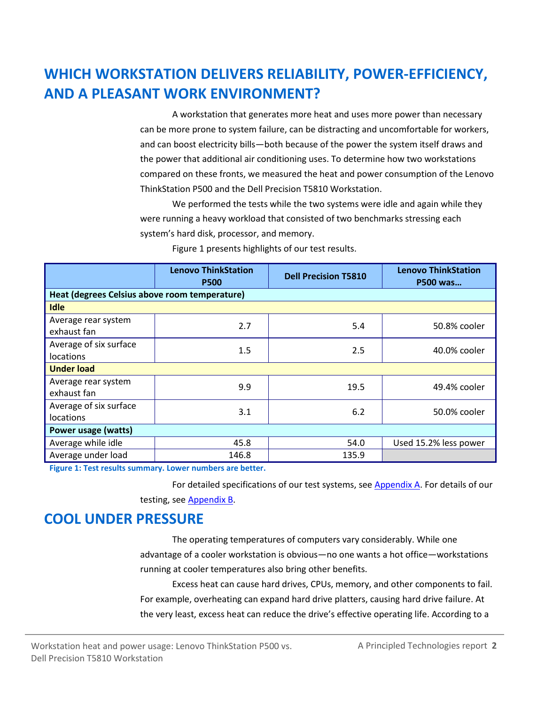# **WHICH WORKSTATION DELIVERS RELIABILITY, POWER-EFFICIENCY, AND A PLEASANT WORK ENVIRONMENT?**

A workstation that generates more heat and uses more power than necessary can be more prone to system failure, can be distracting and uncomfortable for workers, and can boost electricity bills—both because of the power the system itself draws and the power that additional air conditioning uses. To determine how two workstations compared on these fronts, we measured the heat and power consumption of the Lenovo ThinkStation P500 and the Dell Precision T5810 Workstation.

We performed the tests while the two systems were idle and again while they were running a heavy workload that consisted of two benchmarks stressing each system's hard disk, processor, and memory.

|                                               | <b>Lenovo ThinkStation</b><br><b>P500</b> | <b>Dell Precision T5810</b> | <b>Lenovo ThinkStation</b><br>P500 was |  |  |  |
|-----------------------------------------------|-------------------------------------------|-----------------------------|----------------------------------------|--|--|--|
| Heat (degrees Celsius above room temperature) |                                           |                             |                                        |  |  |  |
| <b>Idle</b>                                   |                                           |                             |                                        |  |  |  |
| Average rear system<br>exhaust fan            | 2.7                                       | 5.4                         | 50.8% cooler                           |  |  |  |
| Average of six surface<br>locations           | 1.5                                       | 2.5                         | 40.0% cooler                           |  |  |  |
| <b>Under load</b>                             |                                           |                             |                                        |  |  |  |
| Average rear system<br>exhaust fan            | 9.9                                       | 19.5                        | 49.4% cooler                           |  |  |  |
| Average of six surface<br>locations           | 3.1                                       | 6.2                         | 50.0% cooler                           |  |  |  |
| Power usage (watts)                           |                                           |                             |                                        |  |  |  |
| Average while idle                            | 45.8                                      | 54.0                        | Used 15.2% less power                  |  |  |  |
| Average under load                            | 146.8                                     | 135.9                       |                                        |  |  |  |

Figure 1 presents highlights of our test results.

**Figure 1: Test results summary. Lower numbers are better.**

For detailed specifications of our test systems, see [Appendix A.](#page-4-0) For details of our testing, see [Appendix B.](#page-7-0)

### **COOL UNDER PRESSURE**

The operating temperatures of computers vary considerably. While one advantage of a cooler workstation is obvious—no one wants a hot office—workstations running at cooler temperatures also bring other benefits.

Excess heat can cause hard drives, CPUs, memory, and other components to fail. For example, overheating can expand hard drive platters, causing hard drive failure. At the very least, excess heat can reduce the drive's effective operating life. According to a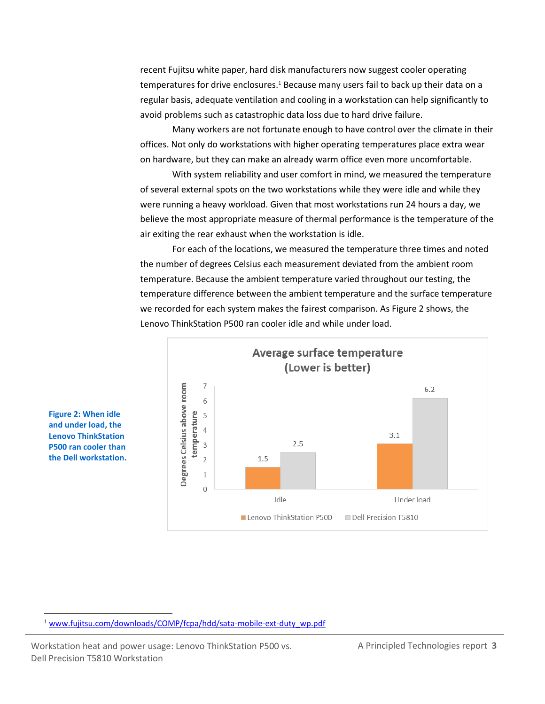recent Fujitsu white paper, hard disk manufacturers now suggest cooler operating temperatures for drive enclosures.<sup>1</sup> Because many users fail to back up their data on a regular basis, adequate ventilation and cooling in a workstation can help significantly to avoid problems such as catastrophic data loss due to hard drive failure.

Many workers are not fortunate enough to have control over the climate in their offices. Not only do workstations with higher operating temperatures place extra wear on hardware, but they can make an already warm office even more uncomfortable.

With system reliability and user comfort in mind, we measured the temperature of several external spots on the two workstations while they were idle and while they were running a heavy workload. Given that most workstations run 24 hours a day, we believe the most appropriate measure of thermal performance is the temperature of the air exiting the rear exhaust when the workstation is idle.

For each of the locations, we measured the temperature three times and noted the number of degrees Celsius each measurement deviated from the ambient room temperature. Because the ambient temperature varied throughout our testing, the temperature difference between the ambient temperature and the surface temperature we recorded for each system makes the fairest comparison. As Figure 2 shows, the Lenovo ThinkStation P500 ran cooler idle and while under load.



**Figure 2: When idle and under load, the Lenovo ThinkStation P500 ran cooler than the Dell workstation.**

 $\overline{a}$ 

Workstation heat and power usage: Lenovo ThinkStation P500 vs. A Principled Technologies report 3 Dell Precision T5810 Workstation

<sup>&</sup>lt;sup>1</sup> [www.fujitsu.com/downloads/COMP/fcpa/hdd/sata-mobile-ext-duty\\_wp.pdf](http://www.fujitsu.com/downloads/COMP/fcpa/hdd/sata-mobile-ext-duty_wp.pdf)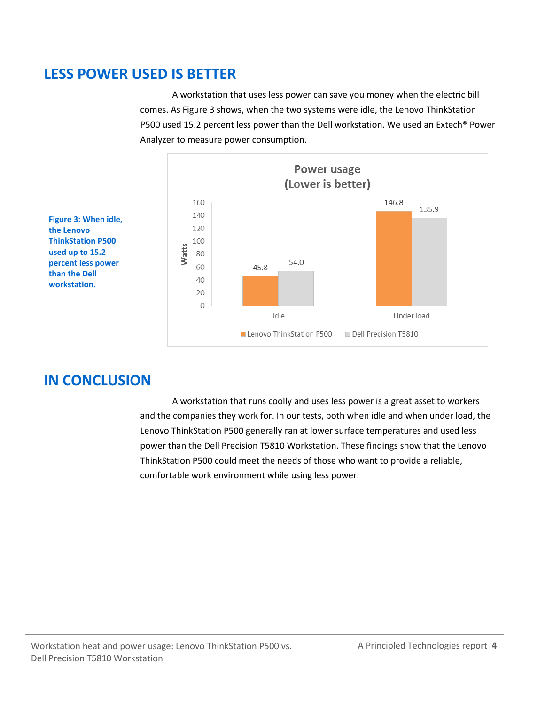### **LESS POWER USED IS BETTER**

A workstation that uses less power can save you money when the electric bill comes. As Figure 3 shows, when the two systems were idle, the Lenovo ThinkStation P500 used 15.2 percent less power than the Dell workstation. We used an Extech® Power Analyzer to measure power consumption.



**Figure 3: When idle, the Lenovo ThinkStation P500 used up to 15.2 percent less power than the Dell workstation.**

# **IN CONCLUSION**

A workstation that runs coolly and uses less power is a great asset to workers and the companies they work for. In our tests, both when idle and when under load, the Lenovo ThinkStation P500 generally ran at lower surface temperatures and used less power than the Dell Precision T5810 Workstation. These findings show that the Lenovo ThinkStation P500 could meet the needs of those who want to provide a reliable, comfortable work environment while using less power.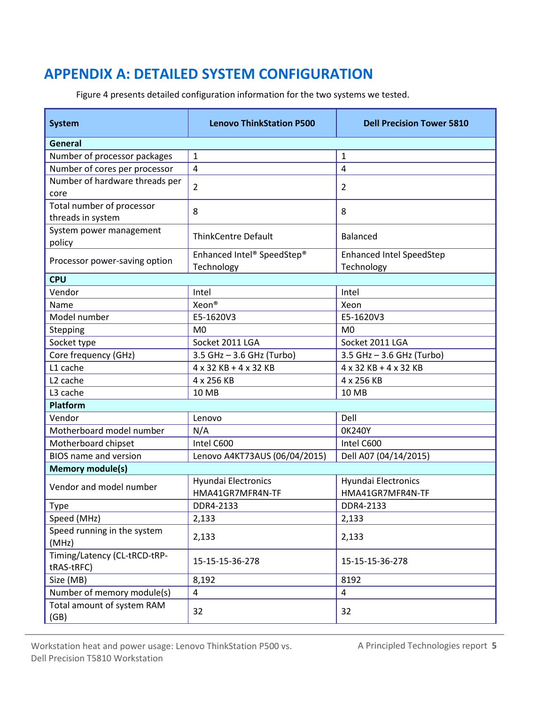# <span id="page-4-0"></span>**APPENDIX A: DETAILED SYSTEM CONFIGURATION**

Figure 4 presents detailed configuration information for the two systems we tested.

| <b>System</b>                                  | <b>Lenovo ThinkStation P500</b>         | <b>Dell Precision Tower 5810</b>               |  |  |  |
|------------------------------------------------|-----------------------------------------|------------------------------------------------|--|--|--|
| <b>General</b>                                 |                                         |                                                |  |  |  |
| Number of processor packages                   | 1                                       | $\mathbf{1}$                                   |  |  |  |
| Number of cores per processor                  | $\overline{4}$                          | $\overline{4}$                                 |  |  |  |
| Number of hardware threads per<br>core         | $\overline{2}$                          | $\overline{2}$                                 |  |  |  |
| Total number of processor<br>threads in system | 8                                       | 8                                              |  |  |  |
| System power management<br>policy              | <b>ThinkCentre Default</b>              | Balanced                                       |  |  |  |
| Processor power-saving option                  | Enhanced Intel® SpeedStep®              | <b>Enhanced Intel SpeedStep</b>                |  |  |  |
|                                                | Technology                              | Technology                                     |  |  |  |
| <b>CPU</b>                                     |                                         |                                                |  |  |  |
| Vendor                                         | Intel                                   | Intel                                          |  |  |  |
| Name                                           | Xeon®                                   | Xeon                                           |  |  |  |
| Model number                                   | E5-1620V3                               | E5-1620V3                                      |  |  |  |
| Stepping                                       | M <sub>0</sub>                          | M <sub>0</sub>                                 |  |  |  |
| Socket type                                    | Socket 2011 LGA                         | Socket 2011 LGA                                |  |  |  |
| Core frequency (GHz)                           | 3.5 GHz - 3.6 GHz (Turbo)               | 3.5 GHz - 3.6 GHz (Turbo)                      |  |  |  |
| L1 cache                                       | 4 x 32 KB + 4 x 32 KB                   | 4 x 32 KB + 4 x 32 KB                          |  |  |  |
| L <sub>2</sub> cache                           | 4 x 256 KB                              | 4 x 256 KB                                     |  |  |  |
| L3 cache                                       | 10 MB                                   | 10 MB                                          |  |  |  |
| <b>Platform</b>                                |                                         |                                                |  |  |  |
| Vendor                                         | Lenovo                                  | Dell                                           |  |  |  |
| Motherboard model number                       | N/A                                     | 0K240Y                                         |  |  |  |
| Motherboard chipset                            | Intel C600                              | Intel C600                                     |  |  |  |
| <b>BIOS</b> name and version                   | Lenovo A4KT73AUS (06/04/2015)           | Dell A07 (04/14/2015)                          |  |  |  |
| <b>Memory module(s)</b>                        |                                         |                                                |  |  |  |
| Vendor and model number                        | Hyundai Electronics<br>HMA41GR7MFR4N-TF | <b>Hyundai Electronics</b><br>HMA41GR7MFR4N-TF |  |  |  |
| Type                                           | DDR4-2133                               | DDR4-2133                                      |  |  |  |
| Speed (MHz)                                    | 2,133                                   | 2,133                                          |  |  |  |
| Speed running in the system<br>(MHz)           | 2,133                                   | 2,133                                          |  |  |  |
| Timing/Latency (CL-tRCD-tRP-<br>tRAS-tRFC)     | 15-15-15-36-278                         | 15-15-15-36-278                                |  |  |  |
| Size (MB)                                      | 8,192                                   | 8192                                           |  |  |  |
| Number of memory module(s)                     | $\overline{4}$                          | 4                                              |  |  |  |
| Total amount of system RAM<br>(GB)             | 32                                      | 32                                             |  |  |  |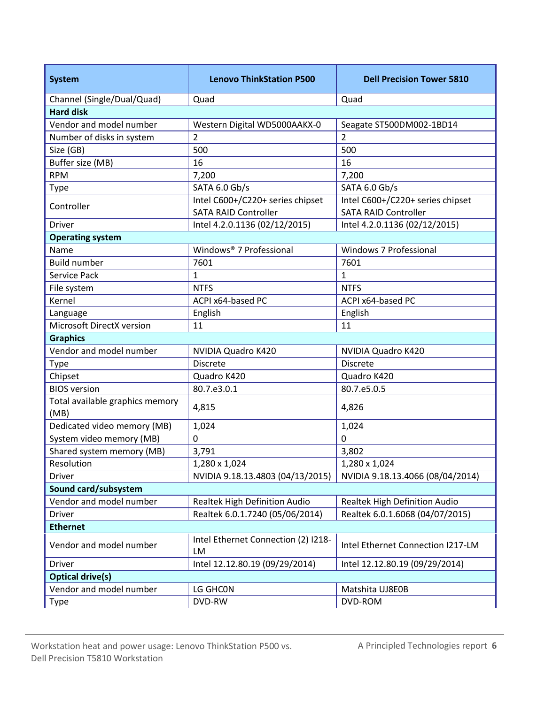| <b>System</b>                           | <b>Lenovo ThinkStation P500</b>           | <b>Dell Precision Tower 5810</b>  |  |  |  |
|-----------------------------------------|-------------------------------------------|-----------------------------------|--|--|--|
| Channel (Single/Dual/Quad)              | Quad                                      | Quad                              |  |  |  |
| <b>Hard disk</b>                        |                                           |                                   |  |  |  |
| Vendor and model number                 | Western Digital WD5000AAKX-0              | Seagate ST500DM002-1BD14          |  |  |  |
| Number of disks in system               | 2                                         | $\overline{2}$                    |  |  |  |
| Size (GB)                               | 500                                       | 500                               |  |  |  |
| Buffer size (MB)                        | 16                                        | 16                                |  |  |  |
| <b>RPM</b>                              | 7,200                                     | 7,200                             |  |  |  |
| <b>Type</b>                             | SATA 6.0 Gb/s                             | SATA 6.0 Gb/s                     |  |  |  |
| Controller                              | Intel C600+/C220+ series chipset          | Intel C600+/C220+ series chipset  |  |  |  |
|                                         | <b>SATA RAID Controller</b>               | <b>SATA RAID Controller</b>       |  |  |  |
| <b>Driver</b>                           | Intel 4.2.0.1136 (02/12/2015)             | Intel 4.2.0.1136 (02/12/2015)     |  |  |  |
| <b>Operating system</b>                 |                                           |                                   |  |  |  |
| Name                                    | Windows® 7 Professional                   | Windows 7 Professional            |  |  |  |
| <b>Build number</b>                     | 7601                                      | 7601                              |  |  |  |
| <b>Service Pack</b>                     | $\mathbf{1}$                              | $\mathbf{1}$                      |  |  |  |
| File system                             | <b>NTFS</b>                               | <b>NTFS</b>                       |  |  |  |
| Kernel                                  | ACPI x64-based PC                         | ACPI x64-based PC                 |  |  |  |
| Language                                | English                                   | English                           |  |  |  |
| Microsoft DirectX version               | 11                                        | 11                                |  |  |  |
| <b>Graphics</b>                         |                                           |                                   |  |  |  |
| Vendor and model number                 | NVIDIA Quadro K420                        | NVIDIA Quadro K420                |  |  |  |
| Type                                    | <b>Discrete</b>                           | <b>Discrete</b>                   |  |  |  |
| Chipset                                 | Quadro K420                               | Quadro K420                       |  |  |  |
| <b>BIOS</b> version                     | 80.7.e3.0.1                               | 80.7.e5.0.5                       |  |  |  |
| Total available graphics memory<br>(MB) | 4,815                                     | 4,826                             |  |  |  |
| Dedicated video memory (MB)             | 1,024                                     | 1,024                             |  |  |  |
| System video memory (MB)                | $\mathbf 0$                               | 0                                 |  |  |  |
| Shared system memory (MB)               | 3,791                                     | 3,802                             |  |  |  |
| Resolution                              | 1,280 x 1,024                             | 1,280 x 1,024                     |  |  |  |
| <b>Driver</b>                           | NVIDIA 9.18.13.4803 (04/13/2015)          | NVIDIA 9.18.13.4066 (08/04/2014)  |  |  |  |
| Sound card/subsystem                    |                                           |                                   |  |  |  |
| Vendor and model number                 | Realtek High Definition Audio             | Realtek High Definition Audio     |  |  |  |
| Driver                                  | Realtek 6.0.1.7240 (05/06/2014)           | Realtek 6.0.1.6068 (04/07/2015)   |  |  |  |
| <b>Ethernet</b>                         |                                           |                                   |  |  |  |
| Vendor and model number                 | Intel Ethernet Connection (2) I218-<br>LM | Intel Ethernet Connection I217-LM |  |  |  |
| Driver                                  | Intel 12.12.80.19 (09/29/2014)            | Intel 12.12.80.19 (09/29/2014)    |  |  |  |
| <b>Optical drive(s)</b>                 |                                           |                                   |  |  |  |
| Vendor and model number                 | LG GHCON                                  | Matshita UJ8E0B                   |  |  |  |
| <b>Type</b>                             | DVD-RW                                    | DVD-ROM                           |  |  |  |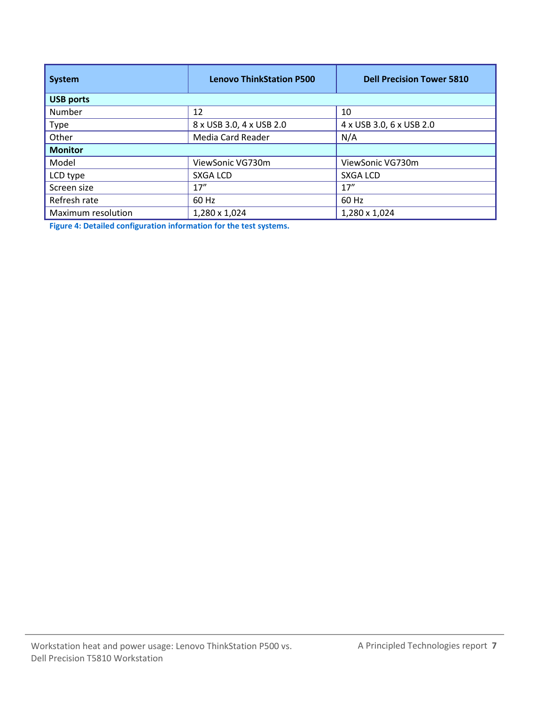| <b>System</b>      | <b>Lenovo ThinkStation P500</b> | <b>Dell Precision Tower 5810</b> |  |  |  |
|--------------------|---------------------------------|----------------------------------|--|--|--|
| <b>USB ports</b>   |                                 |                                  |  |  |  |
| Number             | 12                              | 10                               |  |  |  |
| <b>Type</b>        | 8 x USB 3.0, 4 x USB 2.0        | 4 x USB 3.0, 6 x USB 2.0         |  |  |  |
| Other              | Media Card Reader               | N/A                              |  |  |  |
| <b>Monitor</b>     |                                 |                                  |  |  |  |
| Model              | ViewSonic VG730m                | ViewSonic VG730m                 |  |  |  |
| LCD type           | <b>SXGA LCD</b>                 | <b>SXGA LCD</b>                  |  |  |  |
| Screen size        | 17''                            | 17''                             |  |  |  |
| Refresh rate       | 60 Hz                           | 60 Hz                            |  |  |  |
| Maximum resolution | 1,280 x 1,024                   | 1,280 x 1,024                    |  |  |  |

**Figure 4: Detailed configuration information for the test systems.**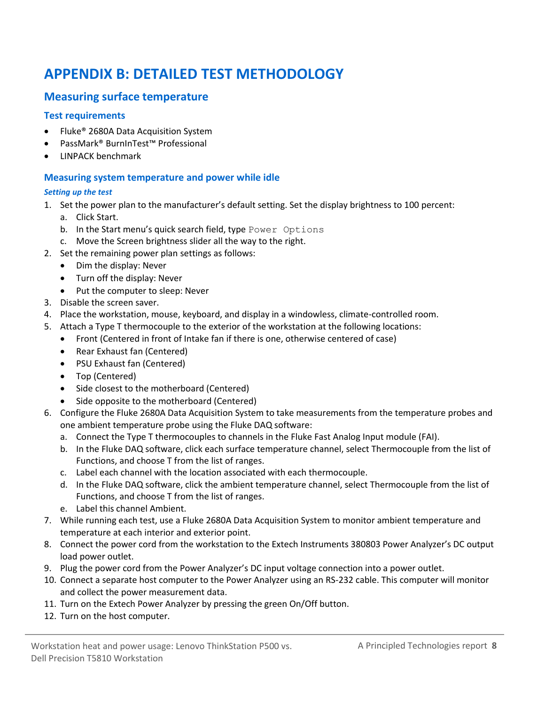# <span id="page-7-0"></span>**APPENDIX B: DETAILED TEST METHODOLOGY**

#### **Measuring surface temperature**

#### **Test requirements**

- Fluke® 2680A Data Acquisition System
- PassMark® BurnInTest™ Professional
- LINPACK benchmark

#### **Measuring system temperature and power while idle**

#### *Setting up the test*

- 1. Set the power plan to the manufacturer's default setting. Set the display brightness to 100 percent: a. Click Start.
	- b. In the Start menu's quick search field, type Power Options
	- c. Move the Screen brightness slider all the way to the right.
- 2. Set the remaining power plan settings as follows:
	- Dim the display: Never
	- Turn off the display: Never
	- Put the computer to sleep: Never
- 3. Disable the screen saver.
- 4. Place the workstation, mouse, keyboard, and display in a windowless, climate-controlled room.
- 5. Attach a Type T thermocouple to the exterior of the workstation at the following locations:
	- Front (Centered in front of Intake fan if there is one, otherwise centered of case)
	- Rear Exhaust fan (Centered)
	- PSU Exhaust fan (Centered)
	- Top (Centered)
	- Side closest to the motherboard (Centered)
	- Side opposite to the motherboard (Centered)
- 6. Configure the Fluke 2680A Data Acquisition System to take measurements from the temperature probes and one ambient temperature probe using the Fluke DAQ software:
	- a. Connect the Type T thermocouples to channels in the Fluke Fast Analog Input module (FAI).
	- b. In the Fluke DAQ software, click each surface temperature channel, select Thermocouple from the list of Functions, and choose T from the list of ranges.
	- c. Label each channel with the location associated with each thermocouple.
	- d. In the Fluke DAQ software, click the ambient temperature channel, select Thermocouple from the list of Functions, and choose T from the list of ranges.
	- e. Label this channel Ambient.
- 7. While running each test, use a Fluke 2680A Data Acquisition System to monitor ambient temperature and temperature at each interior and exterior point.
- 8. Connect the power cord from the workstation to the Extech Instruments 380803 Power Analyzer's DC output load power outlet.
- 9. Plug the power cord from the Power Analyzer's DC input voltage connection into a power outlet.
- 10. Connect a separate host computer to the Power Analyzer using an RS-232 cable. This computer will monitor and collect the power measurement data.
- 11. Turn on the Extech Power Analyzer by pressing the green On/Off button.
- 12. Turn on the host computer.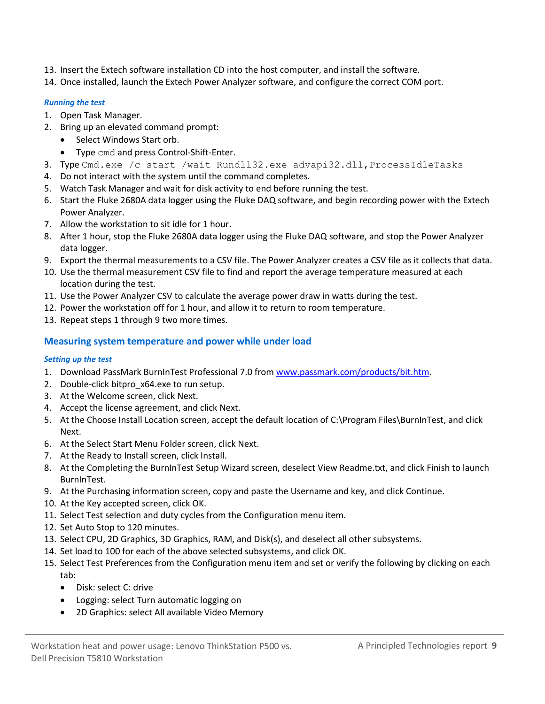- 13. Insert the Extech software installation CD into the host computer, and install the software.
- 14. Once installed, launch the Extech Power Analyzer software, and configure the correct COM port.

#### *Running the test*

- 1. Open Task Manager.
- 2. Bring up an elevated command prompt:
	- Select Windows Start orb.
		- Type cmd and press Control-Shift-Enter.
- 3. Type Cmd.exe /c start /wait Rundll32.exe advapi32.dll, ProcessIdleTasks
- 4. Do not interact with the system until the command completes.
- 5. Watch Task Manager and wait for disk activity to end before running the test.
- 6. Start the Fluke 2680A data logger using the Fluke DAQ software, and begin recording power with the Extech Power Analyzer.
- 7. Allow the workstation to sit idle for 1 hour.
- 8. After 1 hour, stop the Fluke 2680A data logger using the Fluke DAQ software, and stop the Power Analyzer data logger.
- 9. Export the thermal measurements to a CSV file. The Power Analyzer creates a CSV file as it collects that data.
- 10. Use the thermal measurement CSV file to find and report the average temperature measured at each location during the test.
- 11. Use the Power Analyzer CSV to calculate the average power draw in watts during the test.
- 12. Power the workstation off for 1 hour, and allow it to return to room temperature.
- 13. Repeat steps 1 through 9 two more times.

#### **Measuring system temperature and power while under load**

#### *Setting up the test*

- 1. Download PassMark BurnInTest Professional 7.0 from [www.passmark.com/products/bit.htm.](http://www.passmark.com/products/bit.htm)
- 2. Double-click bitpro x64.exe to run setup.
- 3. At the Welcome screen, click Next.
- 4. Accept the license agreement, and click Next.
- 5. At the Choose Install Location screen, accept the default location of C:\Program Files\BurnInTest, and click Next.
- 6. At the Select Start Menu Folder screen, click Next.
- 7. At the Ready to Install screen, click Install.
- 8. At the Completing the BurnInTest Setup Wizard screen, deselect View Readme.txt, and click Finish to launch BurnInTest.
- 9. At the Purchasing information screen, copy and paste the Username and key, and click Continue.
- 10. At the Key accepted screen, click OK.
- 11. Select Test selection and duty cycles from the Configuration menu item.
- 12. Set Auto Stop to 120 minutes.
- 13. Select CPU, 2D Graphics, 3D Graphics, RAM, and Disk(s), and deselect all other subsystems.
- 14. Set load to 100 for each of the above selected subsystems, and click OK.
- 15. Select Test Preferences from the Configuration menu item and set or verify the following by clicking on each tab:
	- Disk: select C: drive
	- Logging: select Turn automatic logging on
	- 2D Graphics: select All available Video Memory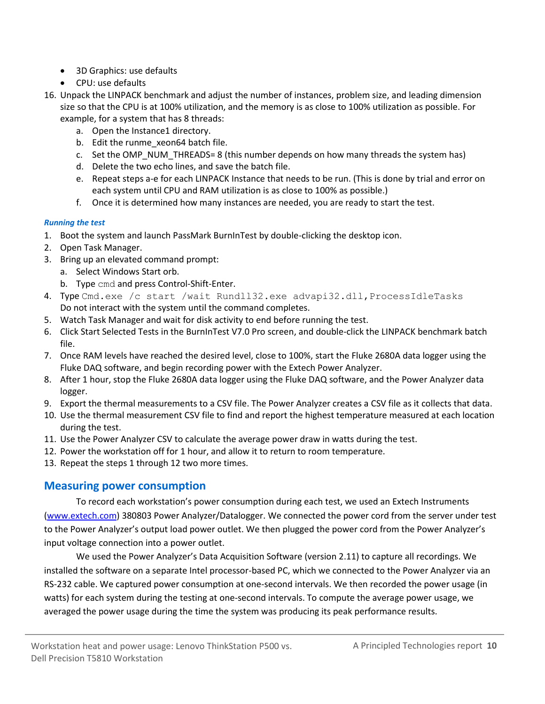- 3D Graphics: use defaults
- CPU: use defaults
- 16. Unpack the LINPACK benchmark and adjust the number of instances, problem size, and leading dimension size so that the CPU is at 100% utilization, and the memory is as close to 100% utilization as possible. For example, for a system that has 8 threads:
	- a. Open the Instance1 directory.
	- b. Edit the runme xeon64 batch file.
	- c. Set the OMP\_NUM\_THREADS= 8 (this number depends on how many threads the system has)
	- d. Delete the two echo lines, and save the batch file.
	- e. Repeat steps a-e for each LINPACK Instance that needs to be run. (This is done by trial and error on each system until CPU and RAM utilization is as close to 100% as possible.)
	- f. Once it is determined how many instances are needed, you are ready to start the test.

#### *Running the test*

- 1. Boot the system and launch PassMark BurnInTest by double-clicking the desktop icon.
- 2. Open Task Manager.
- 3. Bring up an elevated command prompt:
	- a. Select Windows Start orb.
	- b. Type cmd and press Control-Shift-Enter.
- 4. Type Cmd.exe /c start /wait Rundll32.exe advapi32.dll, ProcessIdleTasks Do not interact with the system until the command completes.
- 5. Watch Task Manager and wait for disk activity to end before running the test.
- 6. Click Start Selected Tests in the BurnInTest V7.0 Pro screen, and double-click the LINPACK benchmark batch file.
- 7. Once RAM levels have reached the desired level, close to 100%, start the Fluke 2680A data logger using the Fluke DAQ software, and begin recording power with the Extech Power Analyzer.
- 8. After 1 hour, stop the Fluke 2680A data logger using the Fluke DAQ software, and the Power Analyzer data logger.
- 9. Export the thermal measurements to a CSV file. The Power Analyzer creates a CSV file as it collects that data.
- 10. Use the thermal measurement CSV file to find and report the highest temperature measured at each location during the test.
- 11. Use the Power Analyzer CSV to calculate the average power draw in watts during the test.
- 12. Power the workstation off for 1 hour, and allow it to return to room temperature.
- 13. Repeat the steps 1 through 12 two more times.

#### **Measuring power consumption**

To record each workstation's power consumption during each test, we used an Extech Instruments [\(www.extech.com\)](http://www.extech.com/) 380803 Power Analyzer/Datalogger. We connected the power cord from the server under test to the Power Analyzer's output load power outlet. We then plugged the power cord from the Power Analyzer's input voltage connection into a power outlet.

We used the Power Analyzer's Data Acquisition Software (version 2.11) to capture all recordings. We installed the software on a separate Intel processor-based PC, which we connected to the Power Analyzer via an RS-232 cable. We captured power consumption at one-second intervals. We then recorded the power usage (in watts) for each system during the testing at one-second intervals. To compute the average power usage, we averaged the power usage during the time the system was producing its peak performance results.